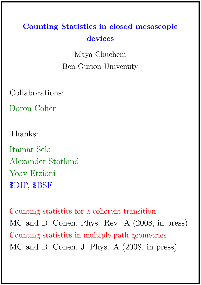# Counting Statistics in closed mesoscopic devices

Maya Chuchem Ben-Gurion University

Collaborations:

Doron Cohen

Thanks:

Itamar Sela Alexander Stotland Yoav Etzioni \$DIP, \$BSF

Counting statistics for a coherent transition MC and D. Cohen, Phys. Rev. A (2008, in press) Counting statistics in multiple path geometries MC and D. Cohen, J. Phys. A (2008, in press)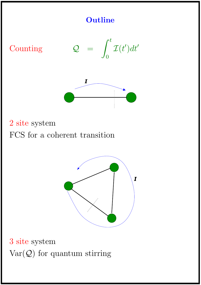### **Outline**







2 site system FCS for a coherent transition



3 site system  $Var(Q)$  for quantum stirring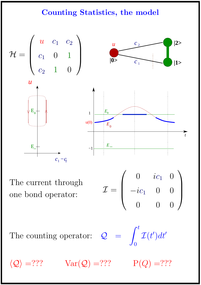## Counting Statistics, the model



The current through one bond operator:

 $\sqrt{ }$  $\overline{\mathcal{L}}$  $0$   $ic_1$   $0$  $-ic_1$  0 0 0 0 0  $\setminus$  $\begin{array}{c} \hline \end{array}$ 

The counting operator:  $\mathcal{Q}$ 

$$
=\int_0^t{\cal I}(t')dt'
$$

 $\langle \mathcal{Q} \rangle$  =??? Var $(\mathcal{Q})$  =??? P( $Q$ ) =???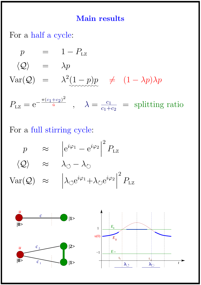### Main results

For a half a cycle:

$$
p = 1 - P_{Lz}
$$
  
\n
$$
\langle Q \rangle = \lambda p
$$
  
\n
$$
Var(Q) = \lambda^2 (1 - p)p \neq (1 - \lambda p)\lambda p
$$
  
\n
$$
P_{Lz} = e^{-\frac{\pi (c_1 + c_2)^2}{\dot{a}}}, \quad \lambda = \frac{c_1}{c_1 + c_2} = \text{splitting ratio}
$$

For a full stirring cycle:

$$
p \approx \left| e^{i\varphi_1} - e^{i\varphi_2} \right|^2 P_{\text{LZ}}
$$

$$
\langle \mathcal{Q} \rangle \approx \lambda_{\circlearrowleft} - \lambda_{\circlearrowright}
$$

$$
\text{Var}(\mathcal{Q}) \approx \left| \lambda_{\circlearrowleft} e^{i\varphi_1} + \lambda_{\circlearrowright} e^{i\varphi_2} \right|^2 P_{\text{LZ}}
$$

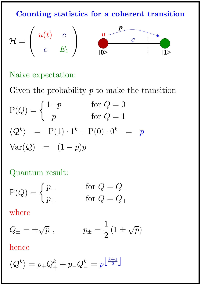Counting statistics for a coherent transition

$$
\mathcal{H} = \begin{pmatrix} u(t) & c \\ c & E_1 \end{pmatrix} \qquad \begin{array}{c} u & \overbrace{c} & \overbrace{c} \\ 0 & \overbrace{c} & 1 \end{array}
$$

## Naive expectation:

Given the probability  $p$  to make the transition

$$
P(Q) = \begin{cases} 1-p & \text{for } Q = 0 \\ p & \text{for } Q = 1 \end{cases}
$$
  

$$
\langle Q^k \rangle = P(1) \cdot 1^k + P(0) \cdot 0^k = p
$$
  

$$
Var(Q) = (1-p)p
$$

Quantum result:

$$
P(Q) = \begin{cases} p_{-} & \text{for } Q = Q_{-} \\ p_{+} & \text{for } Q = Q_{+} \end{cases}
$$

where

$$
Q_{\pm} = \pm \sqrt{p}
$$
,  $p_{\pm} = \frac{1}{2} (1 \pm \sqrt{p})$ 

hence

$$
\langle \mathcal{Q}^k \rangle = p_+ Q_+^k + p_- Q_-^k = p^{\left\lfloor \frac{k+1}{2} \right\rfloor}
$$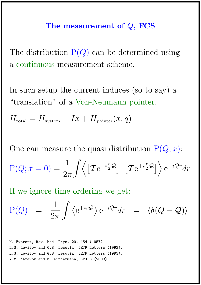#### The measurement of  $Q$ , FCS

The distribution  $P(Q)$  can be determined using a continuous measurement scheme.

In such setup the current induces (so to say) a "translation" of a Von-Neumann pointer.

$$
H_{\text{total}} = H_{\text{system}} - I x + H_{\text{pointer}}(x, q)
$$

One can measure the quasi distribution  $P(Q; x)$ :

$$
P(Q; x = 0) = \frac{1}{2\pi} \int \left\langle \left[ T e^{-i\frac{r}{2}Q} \right]^{\dagger} \left[ T e^{+i\frac{r}{2}Q} \right] \right\rangle e^{-iQr} dr
$$

If we ignore time ordering we get:

$$
P(Q) = \frac{1}{2\pi} \int \langle e^{+ir\mathcal{Q}} \rangle e^{-iQr} dr = \langle \delta(Q - \mathcal{Q}) \rangle
$$

H. Everett, Rev. Mod. Phys. 29, 454 (1957). L.S. Levitov and G.B. Lesovik, JETP Letters (1992). L.S. Levitov and G.B. Lesovik, JETP Letters (1993). Y.V. Nazarov and M. Kindermann, EPJ B (2003).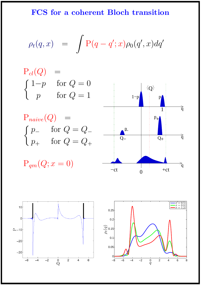FCS for a coherent Bloch transition

$$
\rho_t(q,x) = \int P(q - q'; x) \rho_0(q', x) dq'
$$

 $P_{cl}(Q) =$  $\int 1-p$  for  $Q=0$  $p \text{ for } Q = 1$  $P_{naive}(Q) =$ 

$$
\begin{cases} p_- & \text{for } Q = Q_- \\ p_+ & \text{for } Q = Q_+ \end{cases}
$$

$$
\mathbf{P}_{qm}(Q; x=0)
$$





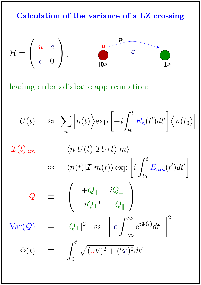Calculation of the variance of a LZ crossing



leading order adiabatic approximation:

$$
U(t) \approx \sum_{n} \left| n(t) \right\rangle \exp\left[ -i \int_{t_0}^{t} E_n(t') dt' \right] \left\langle n(t_0) \right|
$$
  

$$
\mathcal{I}(t)_{nm} = \left\langle n | U(t)^{\dagger} \mathcal{I} U(t) | m \right\rangle
$$
  

$$
\approx \left\langle n(t) | \mathcal{I} | m(t) \right\rangle \exp\left[ i \int_{t_0}^{t} E_{nm}(t') dt' \right]
$$
  

$$
Q \equiv \left( \begin{array}{cc} +Q_{\parallel} & iQ_{\perp} \\ -iQ_{\perp}^{*} & -Q_{\parallel} \end{array} \right)
$$
  

$$
Var(Q) = |Q_{\perp}|^2 \approx \left| c \int_{-\infty}^{\infty} e^{i\Phi(t)} dt \right|^{2}
$$
  

$$
\Phi(t) \equiv \int_{0}^{t} \sqrt{(it')^2 + (2c)^2} dt'
$$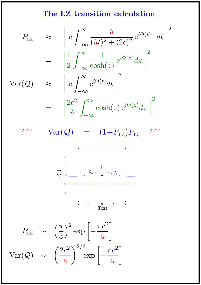## The LZ transition calculation

$$
P_{\text{LZ}} \approx \left| c \int_{-\infty}^{\infty} \frac{\dot{u}}{(\dot{u}t)^2 + (2c)^2} e^{i\Phi(t)} dt \right|^2
$$

$$
= \left| \frac{1}{2} \int_{-\infty}^{\infty} \frac{1}{\cosh(z)} e^{i\Phi(z)} dz \right|^2
$$

$$
\text{Var}(\mathcal{Q}) \approx \left| c \int_{-\infty}^{\infty} e^{i\Phi(t)} dt \right|^2
$$

$$
= \left| \frac{2c^2}{\dot{u}} \int_{-\infty}^{\infty} \cosh(z) e^{i\Phi(z)} dz \right|^2
$$

???  $Var(Q) = (1-P_{LZ})P_{LZ}$  ???



$$
P_{\text{LZ}} \sim \left(\frac{\pi}{3}\right)^2 \exp\left[-\frac{\pi c^2}{\dot{u}}\right]
$$

$$
\text{Var}(\mathcal{Q}) \sim \left(\frac{2c^2}{\dot{u}}\right)^{2/3} \exp\left[-\frac{\pi c^2}{\dot{u}}\right]
$$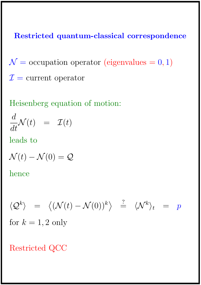Restricted quantum-classical correspondence

 $\mathcal{N} =$  occupation operator (eigenvalues = 0, 1)  $\mathcal{I} =$  current operator

Heisenberg equation of motion:

$$
\frac{d}{dt}\mathcal{N}(t) = \mathcal{I}(t)
$$

leads to

$$
\mathcal{N}(t) - \mathcal{N}(0) = \mathcal{Q}
$$

hence

$$
\langle \mathcal{Q}^k \rangle = \langle (\mathcal{N}(t) - \mathcal{N}(0))^k \rangle \stackrel{?}{=} \langle \mathcal{N}^k \rangle_t = p
$$
  
for  $k = 1, 2$  only

Restricted QCC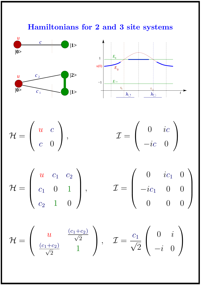# Hamiltonians for 2 and 3 site systems





$$
\mathcal{H} = \left( \begin{array}{cc} u & c \\ c & 0 \end{array} \right),
$$

$$
\begin{pmatrix}\n\end{pmatrix}, \qquad \qquad \mathcal{I} = \begin{pmatrix}\n0 & ic \\
-ic & 0\n\end{pmatrix}
$$

$$
\mathcal{H} = \begin{pmatrix} u & c_1 & c_2 \\ c_1 & 0 & 1 \\ c_2 & 1 & 0 \end{pmatrix}, \qquad \qquad \mathcal{I} = \begin{pmatrix} 0 & ic_1 & 0 \\ -ic_1 & 0 & 0 \\ 0 & 0 & 0 \end{pmatrix}
$$

$$
\mathcal{H} = \begin{pmatrix} u & \frac{(c_1+c_2)}{\sqrt{2}} \\ \frac{(c_1+c_2)}{\sqrt{2}} & 1 \end{pmatrix}, \quad \mathcal{I} = \frac{c_1}{\sqrt{2}} \begin{pmatrix} 0 & i \\ -i & 0 \end{pmatrix}
$$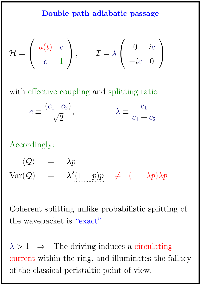#### Double path adiabatic passage

$$
\mathcal{H} = \begin{pmatrix} u(t) & c \\ c & 1 \end{pmatrix}, \qquad \mathcal{I} = \lambda \begin{pmatrix} 0 & ic \\ -ic & 0 \end{pmatrix}
$$

with effective coupling and splitting ratio

$$
c \equiv \frac{(c_1 + c_2)}{\sqrt{2}}, \qquad \lambda \equiv \frac{c_1}{c_1 + c_2}
$$

Accordingly:

 $\langle \mathcal{Q} \rangle$  =  $\lambda p$  $Var(\mathcal{Q}) = \lambda^2(1-p)p$ ✿✿✿✿✿✿✿✿✿  $\neq (1 - \lambda p)\lambda p$ 

Coherent splitting unlike probabilistic splitting of the wavepacket is "exact".

 $\lambda > 1 \Rightarrow$  The driving induces a circulating current within the ring, and illuminates the fallacy of the classical peristaltic point of view.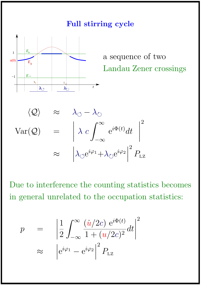#### Full stirring cycle



Due to interference the counting statistics becomes in general unrelated to the occupation statistics:

$$
p = \left| \frac{1}{2} \int_{-\infty}^{\infty} \frac{(\dot{u}/2c) e^{i\Phi(t)}}{1 + (u/2c)^2} dt \right|^2
$$

$$
\approx \left| e^{i\varphi_1} - e^{i\varphi_2} \right|^2 P_{\text{LZ}}
$$